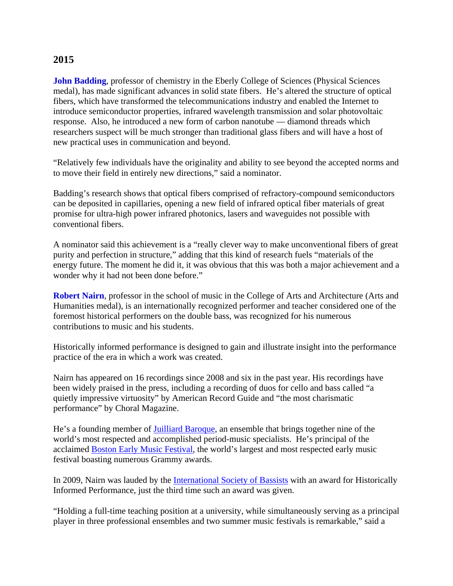## **2015**

**John Badding**, professor of chemistry in the Eberly College of Sciences (Physical Sciences medal), has made significant advances in solid state fibers. He's altered the structure of optical fibers, which have transformed the telecommunications industry and enabled the Internet to introduce semiconductor properties, infrared wavelength transmission and solar photovoltaic response. Also, he introduced a new form of carbon nanotube — diamond threads which researchers suspect will be much stronger than traditional glass fibers and will have a host of new practical uses in communication and beyond.

"Relatively few individuals have the originality and ability to see beyond the accepted norms and to move their field in entirely new directions," said a nominator.

Badding's research shows that optical fibers comprised of refractory-compound semiconductors can be deposited in capillaries, opening a new field of infrared optical fiber materials of great promise for ultra-high power infrared photonics, lasers and waveguides not possible with conventional fibers.

A nominator said this achievement is a "really clever way to make unconventional fibers of great purity and perfection in structure," adding that this kind of research fuels "materials of the energy future. The moment he did it, it was obvious that this was both a major achievement and a wonder why it had not been done before."

**Robert Nairn**, professor in the school of music in the College of Arts and Architecture (Arts and Humanities medal), is an internationally recognized performer and teacher considered one of the foremost historical performers on the double bass, was recognized for his numerous contributions to music and his students.

Historically informed performance is designed to gain and illustrate insight into the performance practice of the era in which a work was created.

Nairn has appeared on 16 recordings since 2008 and six in the past year. His recordings have been widely praised in the press, including a recording of duos for cello and bass called "a quietly impressive virtuosity" by American Record Guide and "the most charismatic performance" by Choral Magazine.

He's a founding member of Juilliard Baroque, an ensemble that brings together nine of the world's most respected and accomplished period-music specialists. He's principal of the acclaimed **Boston Early Music Festival**, the world's largest and most respected early music festival boasting numerous Grammy awards.

In 2009, Nairn was lauded by the International Society of Bassists with an award for Historically Informed Performance, just the third time such an award was given.

"Holding a full-time teaching position at a university, while simultaneously serving as a principal player in three professional ensembles and two summer music festivals is remarkable," said a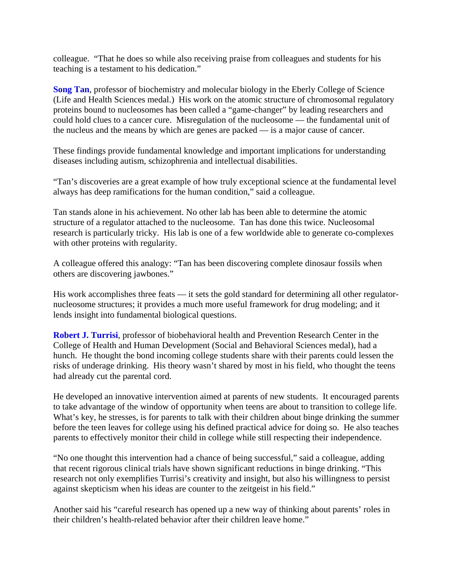colleague. "That he does so while also receiving praise from colleagues and students for his teaching is a testament to his dedication."

**Song Tan**, professor of biochemistry and molecular biology in the Eberly College of Science (Life and Health Sciences medal.) His work on the atomic structure of chromosomal regulatory proteins bound to nucleosomes has been called a "game-changer" by leading researchers and could hold clues to a cancer cure. Misregulation of the nucleosome — the fundamental unit of the nucleus and the means by which are genes are packed — is a major cause of cancer.

These findings provide fundamental knowledge and important implications for understanding diseases including autism, schizophrenia and intellectual disabilities.

"Tan's discoveries are a great example of how truly exceptional science at the fundamental level always has deep ramifications for the human condition," said a colleague.

Tan stands alone in his achievement. No other lab has been able to determine the atomic structure of a regulator attached to the nucleosome. Tan has done this twice. Nucleosomal research is particularly tricky. His lab is one of a few worldwide able to generate co-complexes with other proteins with regularity.

A colleague offered this analogy: "Tan has been discovering complete dinosaur fossils when others are discovering jawbones."

His work accomplishes three feats  $\frac{d}{dx}$  it sets the gold standard for determining all other regulatornucleosome structures; it provides a much more useful framework for drug modeling; and it lends insight into fundamental biological questions.

**Robert J. Turrisi**, professor of biobehavioral health and Prevention Research Center in the College of Health and Human Development (Social and Behavioral Sciences medal), had a hunch. He thought the bond incoming college students share with their parents could lessen the risks of underage drinking. His theory wasn't shared by most in his field, who thought the teens had already cut the parental cord.

He developed an innovative intervention aimed at parents of new students. It encouraged parents to take advantage of the window of opportunity when teens are about to transition to college life. What's key, he stresses, is for parents to talk with their children about binge drinking the summer before the teen leaves for college using his defined practical advice for doing so. He also teaches parents to effectively monitor their child in college while still respecting their independence.

"No one thought this intervention had a chance of being successful," said a colleague, adding that recent rigorous clinical trials have shown significant reductions in binge drinking. "This research not only exemplifies Turrisi's creativity and insight, but also his willingness to persist against skepticism when his ideas are counter to the zeitgeist in his field."

Another said his "careful research has opened up a new way of thinking about parents' roles in their children's health-related behavior after their children leave home."